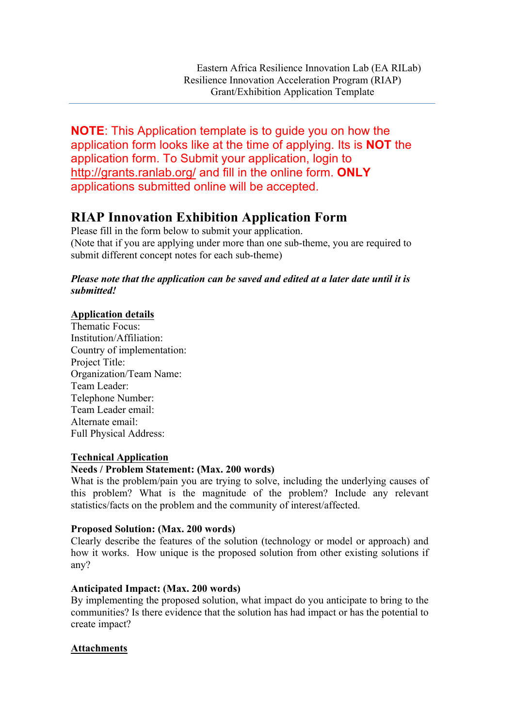**NOTE**: This Application template is to guide you on how the application form looks like at the time of applying. Its is **NOT** the application form. To Submit your application, login to http://grants.ranlab.org/ and fill in the online form. **ONLY** applications submitted online will be accepted.

# **RIAP Innovation Exhibition Application Form**

Please fill in the form below to submit your application. (Note that if you are applying under more than one sub-theme, you are required to submit different concept notes for each sub-theme)

#### *Please note that the application can be saved and edited at a later date until it is submitted!*

### **Application details**

Thematic Focus: Institution/Affiliation: Country of implementation: Project Title: Organization/Team Name: Team Leader: Telephone Number: Team Leader email: Alternate email: Full Physical Address:

#### **Technical Application**

#### **Needs / Problem Statement: (Max. 200 words)**

What is the problem/pain you are trying to solve, including the underlying causes of this problem? What is the magnitude of the problem? Include any relevant statistics/facts on the problem and the community of interest/affected.

#### **Proposed Solution: (Max. 200 words)**

Clearly describe the features of the solution (technology or model or approach) and how it works. How unique is the proposed solution from other existing solutions if any?

#### **Anticipated Impact: (Max. 200 words)**

By implementing the proposed solution, what impact do you anticipate to bring to the communities? Is there evidence that the solution has had impact or has the potential to create impact?

## **Attachments**